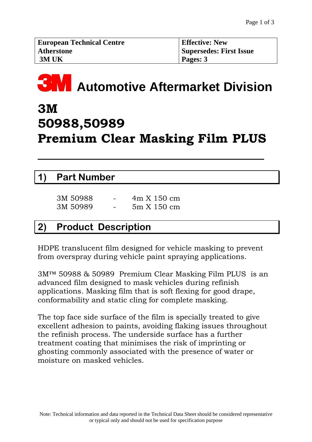| <b>European Technical Centre</b> | <b>Effective: New</b>   |
|----------------------------------|-------------------------|
| <b>Atherstone</b>                | Supersedes: First Issue |
| 3M UK                            | Pages: $3$              |

# **33M** Automotive Aftermarket Division

# **3M 50988,50989 Premium Clear Masking Film PLUS**

#### **1) Part Number**

 $\overline{a}$ 

| 3M 50988 | - | 4m X 150 cm |
|----------|---|-------------|
| 3M 50989 | - | 5m X 150 cm |

### **2) Product Description**

HDPE translucent film designed for vehicle masking to prevent from overspray during vehicle paint spraying applications.

3M™ 50988 & 50989 Premium Clear Masking Film PLUS is an advanced film designed to mask vehicles during refinish applications. Masking film that is soft flexing for good drape, conformability and static cling for complete masking.

The top face side surface of the film is specially treated to give excellent adhesion to paints, avoiding flaking issues throughout the refinish process. The underside surface has a further treatment coating that minimises the risk of imprinting or ghosting commonly associated with the presence of water or moisture on masked vehicles.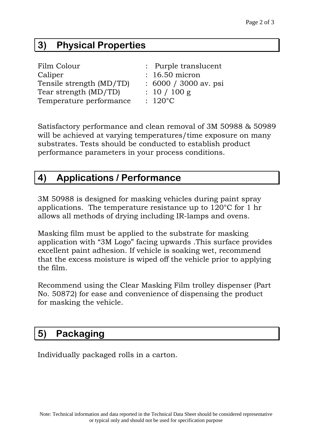# **3) Physical Properties**

| Film Colour              | : Purple translucent  |
|--------------------------|-----------------------|
| Caliper                  | $: 16.50$ micron      |
| Tensile strength (MD/TD) | : 6000 / 3000 av. psi |
| Tear strength (MD/TD)    | : 10 / 100 g          |
| Temperature performance  | $: 120^{\circ}$ C     |

Satisfactory performance and clean removal of 3M 50988 & 50989 will be achieved at varying temperatures/time exposure on many substrates. Tests should be conducted to establish product performance parameters in your process conditions.

# **4) Applications / Performance**

3M 50988 is designed for masking vehicles during paint spray applications. The temperature resistance up to 120°C for 1 hr allows all methods of drying including IR-lamps and ovens.

Masking film must be applied to the substrate for masking application with "3M Logo" facing upwards .This surface provides excellent paint adhesion. If vehicle is soaking wet, recommend that the excess moisture is wiped off the vehicle prior to applying the film.

Recommend using the Clear Masking Film trolley dispenser (Part No. 50872) for ease and convenience of dispensing the product for masking the vehicle.

### **5) Packaging**

Individually packaged rolls in a carton.